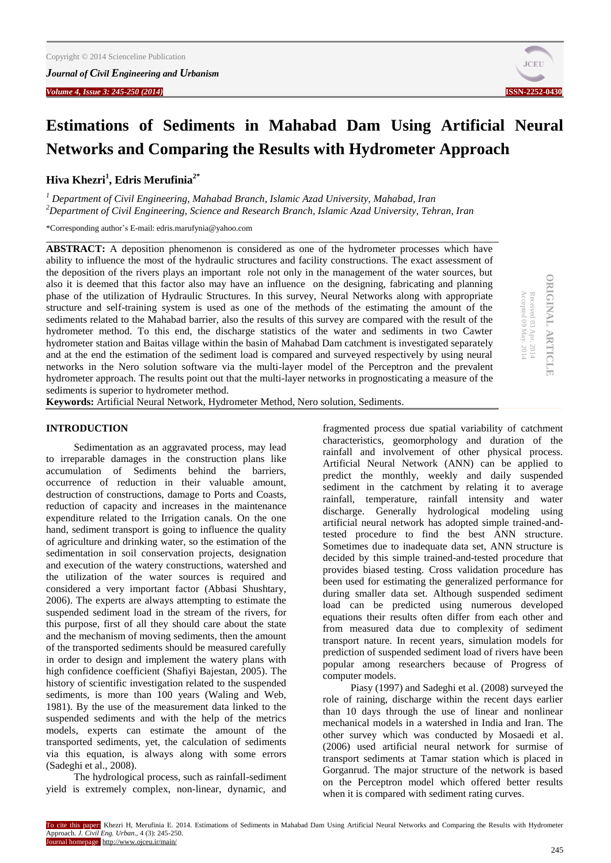*Volume 4, Issue 3: 245-250 (2014)* **ISSN-2252-0430**



**ORIGINAL ARTICLE**

**ORIGINAL ARTICLE** 

Accepted 09 May. 2014 Received 03 Apr. 2014

Received 03 Apr. 2014<br>Accepted 09 May. 2014

# **Estimations of Sediments in Mahabad Dam Using Artificial Neural Networks and Comparing the Results with Hydrometer Approach**

**Hiva Khezri<sup>1</sup> , Edris Merufinia2\***

*<sup>1</sup> Department of Civil Engineering, Mahabad Branch, Islamic Azad University, Mahabad, Iran <sup>2</sup>Department of Civil Engineering, Science and Research Branch, Islamic Azad University, Tehran, Iran*

\*Corresponding author's E-mail: [edris.marufynia@yahoo.com](mailto:edris.marufynia@yahoo.com)

**ABSTRACT:** A deposition phenomenon is considered as one of the hydrometer processes which have ability to influence the most of the hydraulic structures and facility constructions. The exact assessment of the deposition of the rivers plays an important role not only in the management of the water sources, but also it is deemed that this factor also may have an influence on the designing, fabricating and planning phase of the utilization of Hydraulic Structures. In this survey, Neural Networks along with appropriate structure and self-training system is used as one of the methods of the estimating the amount of the sediments related to the Mahabad barrier, also the results of this survey are compared with the result of the hydrometer method. To this end, the discharge statistics of the water and sediments in two Cawter hydrometer station and Baitas village within the basin of Mahabad Dam catchment is investigated separately and at the end the estimation of the sediment load is compared and surveyed respectively by using neural networks in the Nero solution software via the multi-layer model of the Perceptron and the prevalent hydrometer approach. The results point out that the multi-layer networks in prognosticating a measure of the sediments is superior to hydrometer method.

**Keywords:** Artificial Neural Network, Hydrometer Method, Nero solution, Sediments.

# **INTRODUCTION**

Sedimentation as an aggravated process, may lead to irreparable damages in the construction plans like accumulation of Sediments behind the barriers, occurrence of reduction in their valuable amount, destruction of constructions, damage to Ports and Coasts, reduction of capacity and increases in the maintenance expenditure related to the Irrigation canals. On the one hand, sediment transport is going to influence the quality of agriculture and drinking water, so the estimation of the sedimentation in soil conservation projects, designation and execution of the watery constructions, watershed and the utilization of the water sources is required and considered a very important factor (Abbasi Shushtary, 2006). The experts are always attempting to estimate the suspended sediment load in the stream of the rivers, for this purpose, first of all they should care about the state and the mechanism of moving sediments, then the amount of the transported sediments should be measured carefully in order to design and implement the watery plans with high confidence coefficient (Shafiyi Bajestan, 2005). The history of scientific investigation related to the suspended sediments, is more than 100 years (Waling and Web, 1981). By the use of the measurement data linked to the suspended sediments and with the help of the metrics models, experts can estimate the amount of the transported sediments, yet, the calculation of sediments via this equation, is always along with some errors (Sadeghi et al., 2008).

The hydrological process, such as rainfall-sediment yield is extremely complex, non-linear, dynamic, and fragmented process due spatial variability of catchment characteristics, geomorphology and duration of the rainfall and involvement of other physical process. Artificial Neural Network (ANN) can be applied to predict the monthly, weekly and daily suspended sediment in the catchment by relating it to average rainfall, temperature, rainfall intensity and water discharge. Generally hydrological modeling using artificial neural network has adopted simple trained-andtested procedure to find the best ANN structure. Sometimes due to inadequate data set, ANN structure is decided by this simple trained-and-tested procedure that provides biased testing. Cross validation procedure has been used for estimating the generalized performance for during smaller data set. Although suspended sediment load can be predicted using numerous developed equations their results often differ from each other and from measured data due to complexity of sediment transport nature. In recent years, simulation models for prediction of suspended sediment load of rivers have been popular among researchers because of Progress of computer models.

Piasy (1997) and Sadeghi et al. (2008) surveyed the role of raining, discharge within the recent days earlier than 10 days through the use of linear and nonlinear mechanical models in a watershed in India and Iran. The other survey which was conducted by Mosaedi et al. (2006) used artificial neural network for surmise of transport sediments at Tamar station which is placed in Gorganrud. The major structure of the network is based on the Perceptron model which offered better results when it is compared with sediment rating curves.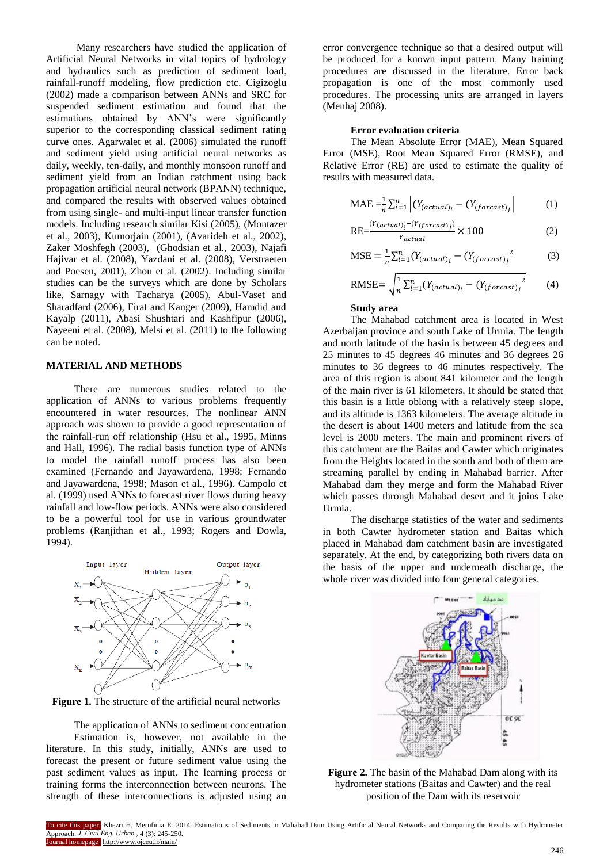Many researchers have studied the application of Artificial Neural Networks in vital topics of hydrology and hydraulics such as prediction of sediment load, rainfall-runoff modeling, flow prediction etc. Cigizoglu (2002) made a comparison between ANNs and SRC for suspended sediment estimation and found that the estimations obtained by ANN's were significantly superior to the corresponding classical sediment rating curve ones. Agarwalet et al. (2006) simulated the runoff and sediment yield using artificial neural networks as daily, weekly, ten-daily, and monthly monsoon runoff and sediment yield from an Indian catchment using back propagation artificial neural network (BPANN) technique, and compared the results with observed values obtained from using single- and multi-input linear transfer function models. Including research similar Kisi (2005), (Montazer et al., 2003), Kumorjain (2001), (Avarideh et al., 2002), Zaker Moshfegh (2003), (Ghodsian et al., 2003), Najafi Hajivar et al. (2008), Yazdani et al. (2008), Verstraeten and Poesen, 2001), Zhou et al. (2002). Including similar studies can be the surveys which are done by Scholars like, Sarnagy with Tacharya (2005), Abul-Vaset and Sharadfard (2006), Firat and Kanger (2009), Hamdid and Kayalp (2011), Abasi Shushtari and Kashfipur (2006), Nayeeni et al. (2008), Melsi et al. (2011) to the following can be noted.

## **MATERIAL AND METHODS**

There are numerous studies related to the application of ANNs to various problems frequently encountered in water resources. The nonlinear ANN approach was shown to provide a good representation of the rainfall-run off relationship (Hsu et al., 1995, Minns and Hall, 1996). The radial basis function type of ANNs to model the rainfall runoff process has also been examined (Fernando and Jayawardena, 1998; Fernando and Jayawardena, 1998; Mason et al., 1996). Campolo et al. (1999) used ANNs to forecast river flows during heavy rainfall and low-flow periods. ANNs were also considered to be a powerful tool for use in various groundwater problems (Ranjithan et al., 1993; Rogers and Dowla, 1994).



**Figure 1.** The structure of the artificial neural networks

The application of ANNs to sediment concentration Estimation is, however, not available in the literature. In this study, initially, ANNs are used to forecast the present or future sediment value using the past sediment values as input. The learning process or training forms the interconnection between neurons. The strength of these interconnections is adjusted using an

error convergence technique so that a desired output will be produced for a known input pattern. Many training procedures are discussed in the literature. Error back propagation is one of the most commonly used procedures. The processing units are arranged in layers (Menhaj 2008).

## **Error evaluation criteria**

The Mean Absolute Error (MAE), Mean Squared Error (MSE), Root Mean Squared Error (RMSE), and Relative Error (RE) are used to estimate the quality of results with measured data.

$$
\text{MAE} = \frac{1}{n} \sum_{i=1}^{n} \left| \left( Y_{(actual)_i} - \left( Y_{(forecast)} \right)_j \right| \right| \tag{1}
$$

$$
RE = \frac{(Y_{(actual)_i} - (Y_{(forecast)_j})}{Y_{actual}} \times 100
$$
 (2)

$$
\text{MSE} = \frac{1}{n} \sum_{i=1}^{n} (Y_{(actual)_i} - (Y_{(forcast)_j}^2)
$$
 (3)

$$
RMSE = \sqrt{\frac{1}{n} \sum_{i=1}^{n} (Y_{(actual)_i} - (Y_{(forecast)_j}^2)}
$$
 (4)

# **Study area**

The Mahabad catchment area is located in West Azerbaijan province and south Lake of Urmia. The length and north latitude of the basin is between 45 degrees and 25 minutes to 45 degrees 46 minutes and 36 degrees 26 minutes to 36 degrees to 46 minutes respectively. The area of this region is about 841 kilometer and the length of the main river is 61 kilometers. It should be stated that this basin is a little oblong with a relatively steep slope, and its altitude is 1363 kilometers. The average altitude in the desert is about 1400 meters and latitude from the sea level is 2000 meters. The main and prominent rivers of this catchment are the Baitas and Cawter which originates from the Heights located in the south and both of them are streaming parallel by ending in Mahabad barrier. After Mahabad dam they merge and form the Mahabad River which passes through Mahabad desert and it joins Lake Urmia.

The discharge statistics of the water and sediments in both Cawter hydrometer station and Baitas which placed in Mahabad dam catchment basin are investigated separately. At the end, by categorizing both rivers data on the basis of the upper and underneath discharge, the whole river was divided into four general categories.



**Figure 2.** The basin of the Mahabad Dam along with its hydrometer stations (Baitas and Cawter) and the real position of the Dam with its reservoir

To cite this paper: Khezri H, Merufinia E. 2014. Estimations of Sediments in Mahabad Dam Using Artificial Neural Networks and Comparing the Results with Hydrometer Approach. *J. Civil Eng. Urban.,* 4 (3): 245-250. urnal homepage http://www.ojceu.ir/main/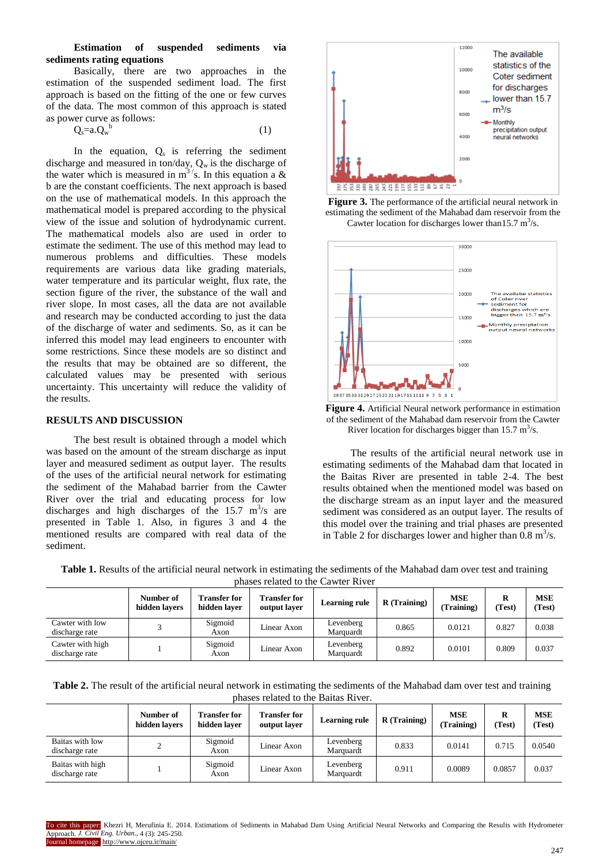# **Estimation of suspended sediments via sediments rating equations**

Basically, there are two approaches in the estimation of the suspended sediment load. The first approach is based on the fitting of the one or few curves of the data. The most common of this approach is stated as power curve as follows:

(1)

 $Q_s = a.Q_w^b$ 

In the equation,  $Q_s$  is referring the sediment discharge and measured in ton/day,  $Q_w$  is the discharge of the water which is measured in  $m^3$ 's. In this equation a & b are the constant coefficients. The next approach is based on the use of mathematical models. In this approach the mathematical model is prepared according to the physical view of the issue and solution of hydrodynamic current. The mathematical models also are used in order to estimate the sediment. The use of this method may lead to numerous problems and difficulties. These models requirements are various data like grading materials, water temperature and its particular weight, flux rate, the section figure of the river, the substance of the wall and river slope. In most cases, all the data are not available and research may be conducted according to just the data of the discharge of water and sediments. So, as it can be inferred this model may lead engineers to encounter with some restrictions. Since these models are so distinct and the results that may be obtained are so different, the calculated values may be presented with serious uncertainty. This uncertainty will reduce the validity of the results.

# **RESULTS AND DISCUSSION**

The best result is obtained through a model which was based on the amount of the stream discharge as input layer and measured sediment as output layer. The results of the uses of the artificial neural network for estimating the sediment of the Mahabad barrier from the Cawter River over the trial and educating process for low discharges and high discharges of the  $15.7 \text{ m}^3\text{/s}$  are presented in Table 1. Also, in figures 3 and 4 the mentioned results are compared with real data of the sediment.







**Figure 4.** Artificial Neural network performance in estimation of the sediment of the Mahabad dam reservoir from the Cawter River location for discharges bigger than  $15.7 \text{ m}^3/\text{s}$ .

The results of the artificial neural network use in estimating sediments of the Mahabad dam that located in the Baitas River are presented in table 2-4. The best results obtained when the mentioned model was based on the discharge stream as an input layer and the measured sediment was considered as an output layer. The results of this model over the training and trial phases are presented in Table 2 for discharges lower and higher than  $0.8 \text{ m}^3/\text{s}$ .

**Table 1.** Results of the artificial neural network in estimating the sediments of the Mahabad dam over test and training phases related to the Cawter River

|                                    | Number of<br>hidden lavers | <b>Transfer for</b><br>hidden laver | <b>Transfer for</b><br>output laver | <b>Learning rule</b>   | $R$ (Training) | MSE<br>(Training) | R<br>(Test) | <b>MSE</b><br>(Test) |
|------------------------------------|----------------------------|-------------------------------------|-------------------------------------|------------------------|----------------|-------------------|-------------|----------------------|
| Cawter with low<br>discharge rate  |                            | Sigmoid<br>Axon                     | Linear Axon                         | Levenberg<br>Marquardt | 0.865          | 0.0121            | 0.827       | 0.038                |
| Cawter with high<br>discharge rate |                            | Sigmoid<br>Axon                     | Linear Axon                         | Levenberg<br>Marquardt | 0.892          | 0.0101            | 0.809       | 0.037                |

| Table 2. The result of the artificial neural network in estimating the sediments of the Mahabad dam over test and training |  |
|----------------------------------------------------------------------------------------------------------------------------|--|
| phases related to the Baitas River.                                                                                        |  |

|                                    | Number of<br>hidden lavers | <b>Transfer for</b><br>hidden laver | <b>Transfer for</b><br>output layer | <b>Learning rule</b>   | $R$ (Training) | <b>MSE</b><br>Training) | R<br>(Test) | <b>MSE</b><br>(Test) |
|------------------------------------|----------------------------|-------------------------------------|-------------------------------------|------------------------|----------------|-------------------------|-------------|----------------------|
| Baitas with low<br>discharge rate  |                            | Sigmoid<br>Axon                     | Linear Axon                         | Levenberg<br>Marquardt | 0.833          | 0.0141                  | 0.715       | 0.0540               |
| Baitas with high<br>discharge rate |                            | Sigmoid<br>Axon                     | Linear Axon                         | Levenberg<br>Marquardt | 0.911          | 0.0089                  | 0.0857      | 0.037                |

To cite this paper: Khezri H, Merufinia E. 2014. Estimations of Sediments in Mahabad Dam Using Artificial Neural Networks and Comparing the Results with Hydrometer Approach. *J. Civil Eng. Urban.,* 4 (3): 245-250. urnal homepage http://www.ojceu.ir/main/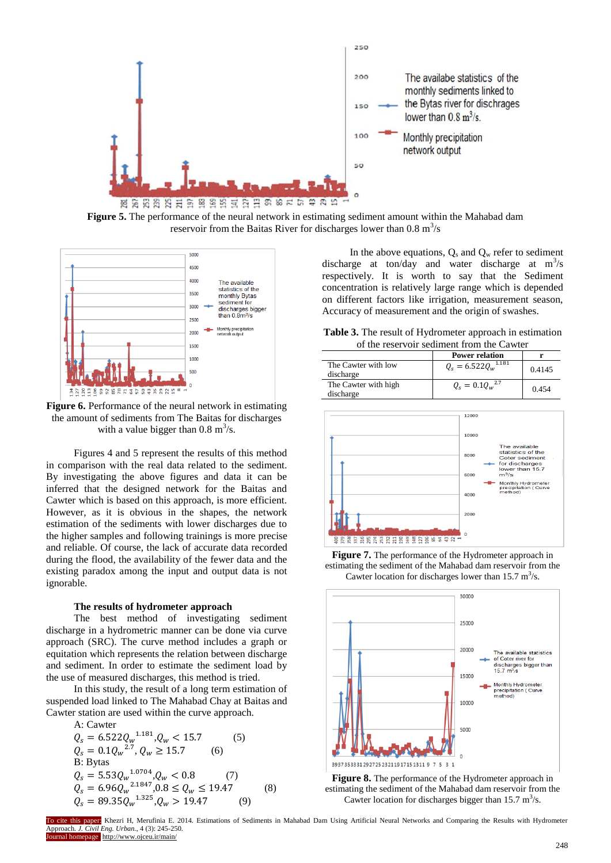

**Figure 5.** The performance of the neural network in estimating sediment amount within the Mahabad dam reservoir from the Baitas River for discharges lower than  $0.8 \text{ m}^3/\text{s}$ 



**Figure 6.** Performance of the neural network in estimating the amount of sediments from The Baitas for discharges with a value bigger than  $0.8 \text{ m}^3/\text{s}$ .

Figures 4 and 5 represent the results of this method in comparison with the real data related to the sediment. By investigating the above figures and data it can be inferred that the designed network for the Baitas and Cawter which is based on this approach, is more efficient. However, as it is obvious in the shapes, the network estimation of the sediments with lower discharges due to the higher samples and following trainings is more precise and reliable. Of course, the lack of accurate data recorded during the flood, the availability of the fewer data and the existing paradox among the input and output data is not ignorable.

#### **The results of hydrometer approach**

The best method of investigating sediment discharge in a hydrometric manner can be done via curve approach (SRC). The curve method includes a graph or equitation which represents the relation between discharge and sediment. In order to estimate the sediment load by the use of measured discharges, this method is tried.

In this study, the result of a long term estimation of suspended load linked to The Mahabad Chay at Baitas and Cawter station are used within the curve approach. A: Cawter

A. Lawel  
\n
$$
Q_s = 6.522 Q_w^{1.181}, Q_w < 15.7
$$
 (5)  
\n $Q_s = 0.1 Q_w^{2.7}, Q_w \ge 15.7$  (6)  
\nB: Bytas  
\n $Q_s = 5.53 Q_w^{1.0704}, Q_w < 0.8$  (7)  
\n $Q_s = 6.96 Q_w^{2.1847}, 0.8 \le Q_w \le 19.47$  (8)  
\n $Q_s = 89.35 Q_w^{1.325}, Q_w > 19.47$  (9)

In the above equations,  $Q_s$  and  $Q_w$  refer to sediment discharge at ton/day and water discharge at  $m^3/s$ respectively. It is worth to say that the Sediment concentration is relatively large range which is depended on different factors like irrigation, measurement season, Accuracy of measurement and the origin of swashes.

**Table 3.** The result of Hydrometer approach in estimation of the reservoir sediment from the Cawter

|                                   | <b>Power relation</b>          |        |  |  |  |  |
|-----------------------------------|--------------------------------|--------|--|--|--|--|
| The Cawter with low<br>discharge  | $Q_s = 6.522 Q_w^{1.181}$      | 0.4145 |  |  |  |  |
| The Cawter with high<br>discharge | $Q_{\rm s}=0.1Q_{\rm w}^{2.7}$ | 0.454  |  |  |  |  |



**Figure 7.** The performance of the Hydrometer approach in estimating the sediment of the Mahabad dam reservoir from the Cawter location for discharges lower than  $15.7 \text{ m}^3/\text{s}$ .





To cite this paper: Khezri H, Merufinia E. 2014. Estimations of Sediments in Mahabad Dam Using Artificial Neural Networks and Comparing the Results with Hydrometer Approach. *J. Civil Eng. Urban.,* 4 (3): 245-250. urnal homepage http://www.ojceu.ir/main/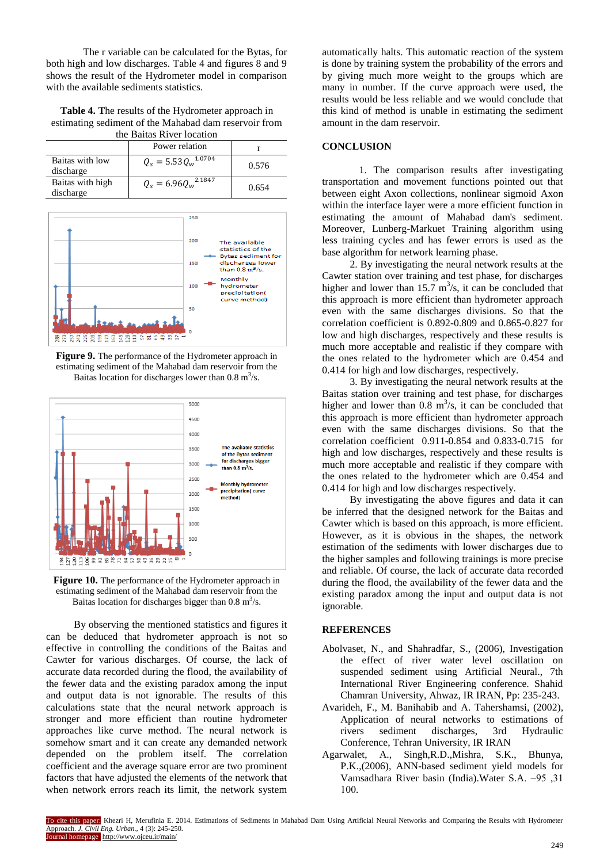The r variable can be calculated for the Bytas, for both high and low discharges. Table 4 and figures 8 and 9 shows the result of the Hydrometer model in comparison with the available sediments statistics.

**Table 4. T**he results of the Hydrometer approach in estimating sediment of the Mahabad dam reservoir from the Baitas River location

|                               | uit Danas In vertoende<br>Power relation |       |
|-------------------------------|------------------------------------------|-------|
|                               |                                          |       |
| Baitas with low<br>discharge  | $Q_s = 5.53 Q_w^{1.0704}$                | 0.576 |
| Baitas with high<br>discharge | $Q_s = 6.96 Q_w^{2.18\overline{47}}$     | 0.654 |



**Figure 9.** The performance of the Hydrometer approach in estimating sediment of the Mahabad dam reservoir from the Baitas location for discharges lower than  $0.8 \text{ m}^3/\text{s}$ .





By observing the mentioned statistics and figures it can be deduced that hydrometer approach is not so effective in controlling the conditions of the Baitas and Cawter for various discharges. Of course, the lack of accurate data recorded during the flood, the availability of the fewer data and the existing paradox among the input and output data is not ignorable. The results of this calculations state that the neural network approach is stronger and more efficient than routine hydrometer approaches like curve method. The neural network is somehow smart and it can create any demanded network depended on the problem itself. The correlation coefficient and the average square error are two prominent factors that have adjusted the elements of the network that when network errors reach its limit, the network system

automatically halts. This automatic reaction of the system is done by training system the probability of the errors and by giving much more weight to the groups which are many in number. If the curve approach were used, the results would be less reliable and we would conclude that this kind of method is unable in estimating the sediment amount in the dam reservoir.

## **CONCLUSION**

1. The comparison results after investigating transportation and movement functions pointed out that between eight Axon collections, nonlinear sigmoid Axon within the interface layer were a more efficient function in estimating the amount of Mahabad dam's sediment. Moreover, Lunberg-Markuet Training algorithm using less training cycles and has fewer errors is used as the base algorithm for network learning phase.

2. By investigating the neural network results at the Cawter station over training and test phase, for discharges higher and lower than  $15.7 \text{ m}^3\text{/s}$ , it can be concluded that this approach is more efficient than hydrometer approach even with the same discharges divisions. So that the correlation coefficient is 0.892-0.809 and 0.865-0.827 for low and high discharges, respectively and these results is much more acceptable and realistic if they compare with the ones related to the hydrometer which are 0.454 and 0.414 for high and low discharges, respectively.

3. By investigating the neural network results at the Baitas station over training and test phase, for discharges higher and lower than  $0.8 \text{ m}^3/\text{s}$ , it can be concluded that this approach is more efficient than hydrometer approach even with the same discharges divisions. So that the correlation coefficient 0.911-0.854 and 0.833-0.715 for high and low discharges, respectively and these results is much more acceptable and realistic if they compare with the ones related to the hydrometer which are 0.454 and 0.414 for high and low discharges respectively.

By investigating the above figures and data it can be inferred that the designed network for the Baitas and Cawter which is based on this approach, is more efficient. However, as it is obvious in the shapes, the network estimation of the sediments with lower discharges due to the higher samples and following trainings is more precise and reliable. Of course, the lack of accurate data recorded during the flood, the availability of the fewer data and the existing paradox among the input and output data is not ignorable.

# **REFERENCES**

- Abolvaset, N., and Shahradfar, S., (2006), Investigation the effect of river water level oscillation on suspended sediment using Artificial Neural., 7th International River Engineering conference. Shahid Chamran University, Ahwaz, IR IRAN, Pp: 235-243.
- Avarideh, F., M. Banihabib and A. Tahershamsi, (2002), Application of neural networks to estimations of rivers sediment discharges, 3rd Hydraulic Conference, Tehran University, IR IRAN
- Agarwalet, A., Singh,R.D.,Mishra, S.K., Bhunya, P.K.,(2006), ANN-based sediment yield models for Vamsadhara River basin (India). Water S.A. -95, 31 100.

To cite this paper: Khezri H, Merufinia E. 2014. Estimations of Sediments in Mahabad Dam Using Artificial Neural Networks and Comparing the Results with Hydrometer Approach. *J. Civil Eng. Urban.,* 4 (3): 245-250. urnal homepage http://www.ojceu.ir/main/